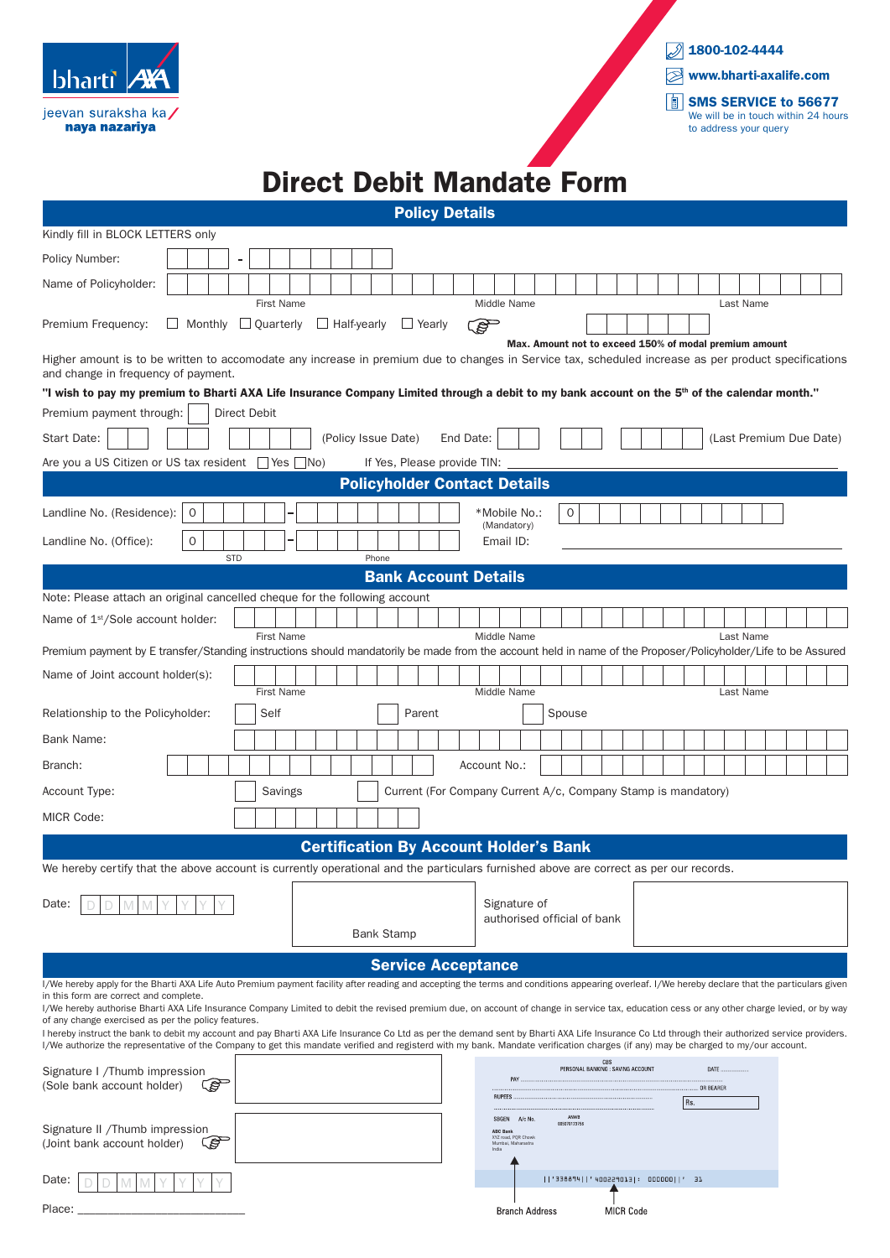| <b>bharti</b>                        | <b>AYA</b> |
|--------------------------------------|------------|
| jeevan suraksha ka/<br>naya nazariya |            |



## Direct Debit Mandate Form

| <b>Policy Details</b>                                                                                                                                                                                                                                                                                                                                                               |  |  |
|-------------------------------------------------------------------------------------------------------------------------------------------------------------------------------------------------------------------------------------------------------------------------------------------------------------------------------------------------------------------------------------|--|--|
| Kindly fill in BLOCK LETTERS only                                                                                                                                                                                                                                                                                                                                                   |  |  |
| Policy Number:<br>۰                                                                                                                                                                                                                                                                                                                                                                 |  |  |
| Name of Policyholder:                                                                                                                                                                                                                                                                                                                                                               |  |  |
| <b>First Name</b><br>Middle Name<br>Last Name                                                                                                                                                                                                                                                                                                                                       |  |  |
| Premium Frequency:<br>Monthly <b>Quarterly</b><br>$\Box$ Half-yearly<br>$\Box$ Yearly<br><b>RAD</b>                                                                                                                                                                                                                                                                                 |  |  |
| Max. Amount not to exceed 150% of modal premium amount<br>Higher amount is to be written to accomodate any increase in premium due to changes in Service tax, scheduled increase as per product specifications                                                                                                                                                                      |  |  |
| and change in frequency of payment.                                                                                                                                                                                                                                                                                                                                                 |  |  |
| "I wish to pay my premium to Bharti AXA Life Insurance Company Limited through a debit to my bank account on the 5 <sup>th</sup> of the calendar month."                                                                                                                                                                                                                            |  |  |
| Premium payment through:<br><b>Direct Debit</b>                                                                                                                                                                                                                                                                                                                                     |  |  |
| Start Date:<br>(Policy Issue Date)<br>End Date:<br>(Last Premium Due Date)                                                                                                                                                                                                                                                                                                          |  |  |
| Are you a US Citizen or US tax resident $\Box$ Yes $\Box$ No)<br>If Yes, Please provide TIN:                                                                                                                                                                                                                                                                                        |  |  |
| <b>Policyholder Contact Details</b>                                                                                                                                                                                                                                                                                                                                                 |  |  |
| Landline No. (Residence):<br>0<br>*Mobile No.:<br>0<br>(Mandatory)                                                                                                                                                                                                                                                                                                                  |  |  |
| $\mathbf 0$<br>Landline No. (Office):<br>Email ID:                                                                                                                                                                                                                                                                                                                                  |  |  |
| <b>STD</b><br>Phone                                                                                                                                                                                                                                                                                                                                                                 |  |  |
| <b>Bank Account Details</b><br>Note: Please attach an original cancelled cheque for the following account                                                                                                                                                                                                                                                                           |  |  |
| Name of 1 <sup>st</sup> /Sole account holder:                                                                                                                                                                                                                                                                                                                                       |  |  |
| Middle Name<br><b>First Name</b><br>Last Name                                                                                                                                                                                                                                                                                                                                       |  |  |
| Premium payment by E transfer/Standing instructions should mandatorily be made from the account held in name of the Proposer/Policyholder/Life to be Assured                                                                                                                                                                                                                        |  |  |
| Name of Joint account holder(s):                                                                                                                                                                                                                                                                                                                                                    |  |  |
| <b>First Name</b><br>Middle Name<br>Last Name<br>Self<br>Parent<br>Relationship to the Policyholder:<br>Spouse                                                                                                                                                                                                                                                                      |  |  |
| Bank Name:                                                                                                                                                                                                                                                                                                                                                                          |  |  |
|                                                                                                                                                                                                                                                                                                                                                                                     |  |  |
| Account No.:<br>Branch:                                                                                                                                                                                                                                                                                                                                                             |  |  |
| Account Type:<br>Savings<br>Current (For Company Current A/c, Company Stamp is mandatory)                                                                                                                                                                                                                                                                                           |  |  |
| <b>MICR Code:</b>                                                                                                                                                                                                                                                                                                                                                                   |  |  |
| <b>Certification By Account Holder's Bank</b>                                                                                                                                                                                                                                                                                                                                       |  |  |
| We hereby certify that the above account is currently operational and the particulars furnished above are correct as per our records.                                                                                                                                                                                                                                               |  |  |
| Signature of<br>Date:                                                                                                                                                                                                                                                                                                                                                               |  |  |
| authorised official of bank                                                                                                                                                                                                                                                                                                                                                         |  |  |
| <b>Bank Stamp</b>                                                                                                                                                                                                                                                                                                                                                                   |  |  |
| <b>Service Acceptance</b>                                                                                                                                                                                                                                                                                                                                                           |  |  |
| I/We hereby apply for the Bharti AXA Life Auto Premium payment facility after reading and accepting the terms and conditions appearing overleaf. I/We hereby declare that the particulars given<br>in this form are correct and complete.                                                                                                                                           |  |  |
| I/We hereby authorise Bharti AXA Life Insurance Company Limited to debit the revised premium due, on account of change in service tax, education cess or any other charge levied, or by way<br>of any change exercised as per the policy features.                                                                                                                                  |  |  |
| I hereby instruct the bank to debit my account and pay Bharti AXA Life Insurance Co Ltd as per the demand sent by Bharti AXA Life Insurance Co Ltd through their authorized service providers.<br>I/We authorize the representative of the Company to get this mandate verified and registerd with my bank. Mandate verification charges (if any) may be charged to my/our account. |  |  |
| CBS<br>PERSONAL BANKING : SAVING ACCOUNT<br>DATE.<br>Signature I /Thumb impression                                                                                                                                                                                                                                                                                                  |  |  |
| PAY.<br>ශ<br>(Sole bank account holder)<br>OR BEARER<br><b>RUPEES</b>                                                                                                                                                                                                                                                                                                               |  |  |
| Rs.<br>ANWE<br>A/c No<br>SBGEN                                                                                                                                                                                                                                                                                                                                                      |  |  |
| 00507012375<br>Signature II /Thumb impression<br><b>ABC Bank</b><br>XYZ road, PQR Chowk                                                                                                                                                                                                                                                                                             |  |  |
| ිද<br>(Joint bank account holder)<br>Mumbai, Maharastra<br>India                                                                                                                                                                                                                                                                                                                    |  |  |
| '338894  '400229013 : 000000  ' 31<br>Date:                                                                                                                                                                                                                                                                                                                                         |  |  |
| Place:<br><b>Branch Address</b><br><b>MICR Code</b>                                                                                                                                                                                                                                                                                                                                 |  |  |